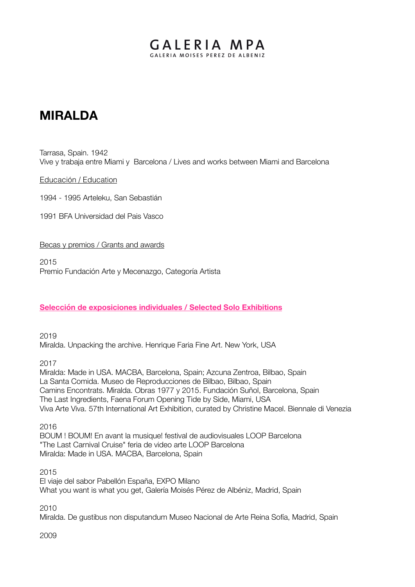## GALERIA MPA GALERIA MOISES PEREZ DE ALBENIZ

# **MIRALDA**

Tarrasa, Spain. 1942 Vive y trabaja entre Miami y Barcelona / Lives and works between Miami and Barcelona

#### Educación / Education

1994 - 1995 Arteleku, San Sebastián

1991 BFA Universidad del Pais Vasco

#### Becas y premios / Grants and awards

2015 Premio Fundación Arte y Mecenazgo, Categoría Artista

## **Selección de exposiciones individuales / Selected Solo Exhibitions**

2019

Miralda. Unpacking the archive. Henrique Faria Fine Art. New York, USA

2017

Miralda: Made in USA. MACBA, Barcelona, Spain; Azcuna Zentroa, Bilbao, Spain La Santa Comida. Museo de Reproducciones de Bilbao, Bilbao, Spain Camins Encontrats. Miralda. Obras 1977 y 2015. Fundación Suñol, Barcelona, Spain The Last Ingredients, Faena Forum Opening Tide by Side, Miami, USA Viva Arte Viva. 57th International Art Exhibition, curated by Christine Macel. Biennale di Venezia

2016 BOUM ! BOUM! En avant la musique! festival de audiovisuales LOOP Barcelona "The Last Carnival Cruise" feria de video arte LOOP Barcelona Miralda: Made in USA. MACBA, Barcelona, Spain

2015

El viaje del sabor Pabellón España, EXPO Milano What you want is what you get, Galería Moisés Pérez de Albéniz, Madrid, Spain

2010

Miralda. De gustibus non disputandum Museo Nacional de Arte Reina Sofía, Madrid, Spain

2009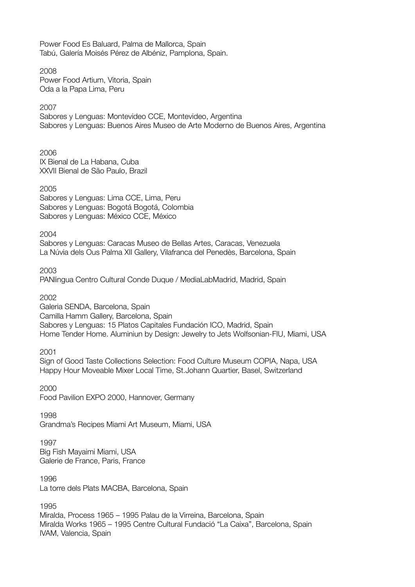Power Food Es Baluard, Palma de Mallorca, Spain Tabú, Galería Moisés Pérez de Albéniz, Pamplona, Spain.

2008 Power Food Artium, Vitoria, Spain Oda a la Papa Lima, Peru

#### 2007

Sabores y Lenguas: Montevideo CCE, Montevideo, Argentina Sabores y Lenguas: Buenos Aires Museo de Arte Moderno de Buenos Aires, Argentina

2006 IX Bienal de La Habana, Cuba XXVII Bienal de São Paulo, Brazil

2005

Sabores y Lenguas: Lima CCE, Lima, Peru Sabores y Lenguas: Bogotá Bogotá, Colombia Sabores y Lenguas: México CCE, México

2004

Sabores y Lenguas: Caracas Museo de Bellas Artes, Caracas, Venezuela La Núvia dels Ous Palma XII Gallery, Vilafranca del Penedès, Barcelona, Spain

2003 PANlingua Centro Cultural Conde Duque / MediaLabMadrid, Madrid, Spain

2002

Galeria SENDA, Barcelona, Spain Camilla Hamm Gallery, Barcelona, Spain Sabores y Lenguas: 15 Platos Capitales Fundación ICO, Madrid, Spain Home Tender Home. Aluminiun by Design: Jewelry to Jets Wolfsonian-FIU, Miami, USA

2001

Sign of Good Taste Collections Selection: Food Culture Museum COPIA, Napa, USA Happy Hour Moveable Mixer Local Time, St.Johann Quartier, Basel, Switzerland

2000 Food Pavilion EXPO 2000, Hannover, Germany

1998

Grandma's Recipes Miami Art Museum, Miami, USA

1997 Big Fish Mayaimi Miami, USA Galerie de France, Paris, France

1996 La torre dels Plats MACBA, Barcelona, Spain

1995 Miralda, Process 1965 – 1995 Palau de la Virreina, Barcelona, Spain Miralda Works 1965 – 1995 Centre Cultural Fundació "La Caixa", Barcelona, Spain IVAM, Valencia, Spain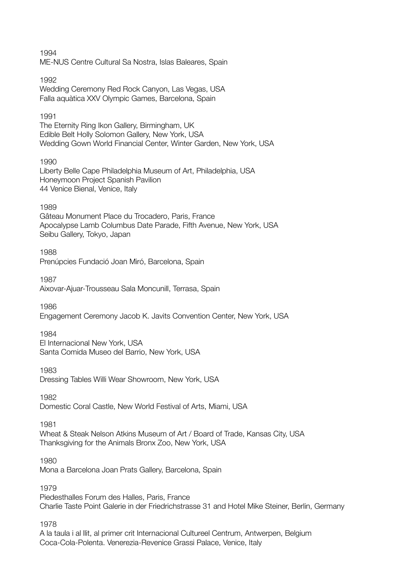1994 ME-NUS Centre Cultural Sa Nostra, Islas Baleares, Spain

1992 Wedding Ceremony Red Rock Canyon, Las Vegas, USA Falla aquàtica XXV Olympic Games, Barcelona, Spain

#### 1991

The Eternity Ring Ikon Gallery, Birmingham, UK Edible Belt Holly Solomon Gallery, New York, USA Wedding Gown World Financial Center, Winter Garden, New York, USA

1990

Liberty Belle Cape Philadelphia Museum of Art, Philadelphia, USA Honeymoon Project Spanish Pavilion 44 Venice Bienal, Venice, Italy

#### 1989

Gâteau Monument Place du Trocadero, Paris, France Apocalypse Lamb Columbus Date Parade, Fifth Avenue, New York, USA Seibu Gallery, Tokyo, Japan

#### 1988

Prenúpcies Fundació Joan Miró, Barcelona, Spain

1987

Aixovar-Ajuar-Trousseau Sala Moncunill, Terrasa, Spain

1986

Engagement Ceremony Jacob K. Javits Convention Center, New York, USA

1984

El Internacional New York, USA Santa Comida Museo del Barrio, New York, USA

1983

Dressing Tables Willi Wear Showroom, New York, USA

1982

Domestic Coral Castle, New World Festival of Arts, Miami, USA

1981

Wheat & Steak Nelson Atkins Museum of Art / Board of Trade, Kansas City, USA Thanksgiving for the Animals Bronx Zoo, New York, USA

1980

Mona a Barcelona Joan Prats Gallery, Barcelona, Spain

1979

Piedesthalles Forum des Halles, Paris, France Charlie Taste Point Galerie in der Friedrichstrasse 31 and Hotel Mike Steiner, Berlin, Germany

1978

A la taula i al llit, al primer crit Internacional Cultureel Centrum, Antwerpen, Belgium Coca-Cola-Polenta. Venerezia-Revenice Grassi Palace, Venice, Italy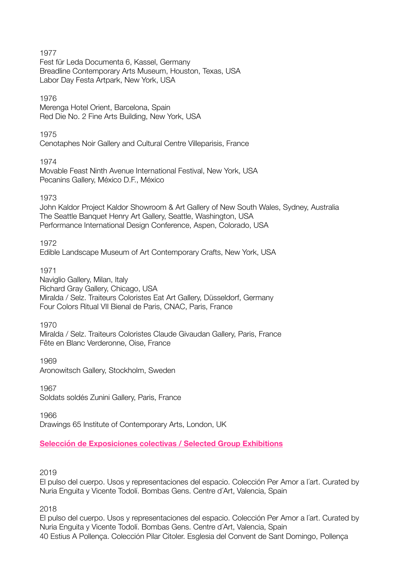#### 1977

Fest für Leda Documenta 6, Kassel, Germany Breadline Contemporary Arts Museum, Houston, Texas, USA Labor Day Festa Artpark, New York, USA

#### 1976

Merenga Hotel Orient, Barcelona, Spain Red Die No. 2 Fine Arts Building, New York, USA

#### 1975

Cenotaphes Noir Gallery and Cultural Centre Villeparisis, France

#### 1974

Movable Feast Ninth Avenue International Festival, New York, USA Pecanins Gallery, México D.F., México

#### 1973

John Kaldor Project Kaldor Showroom & Art Gallery of New South Wales, Sydney, Australia The Seattle Banquet Henry Art Gallery, Seattle, Washington, USA Performance International Design Conference, Aspen, Colorado, USA

#### 1972

Edible Landscape Museum of Art Contemporary Crafts, New York, USA

1971

Naviglio Gallery, Milan, Italy Richard Gray Gallery, Chicago, USA Miralda / Selz. Traiteurs Coloristes Eat Art Gallery, Düsseldorf, Germany Four Colors Ritual VII Bienal de Paris, CNAC, Paris, France

1970

Miralda / Selz. Traiteurs Coloristes Claude Givaudan Gallery, Paris, France Fête en Blanc Verderonne, Oise, France

1969 Aronowitsch Gallery, Stockholm, Sweden

1967

Soldats soldés Zunini Gallery, Paris, France

1966

Drawings 65 Institute of Contemporary Arts, London, UK

#### **Selección de Exposiciones colectivas / Selected Group Exhibitions**

2019

El pulso del cuerpo. Usos y representaciones del espacio. Colección Per Amor a l´art. Curated by Nuria Enguita y Vicente Todolí. Bombas Gens. Centre d´Art, Valencia, Spain

2018

El pulso del cuerpo. Usos y representaciones del espacio. Colección Per Amor a l´art. Curated by Nuria Enguita y Vicente Todolí. Bombas Gens. Centre d´Art, Valencia, Spain 40 Estius A Pollença. Colección Pilar Citoler. Esglesia del Convent de Sant Domingo, Pollença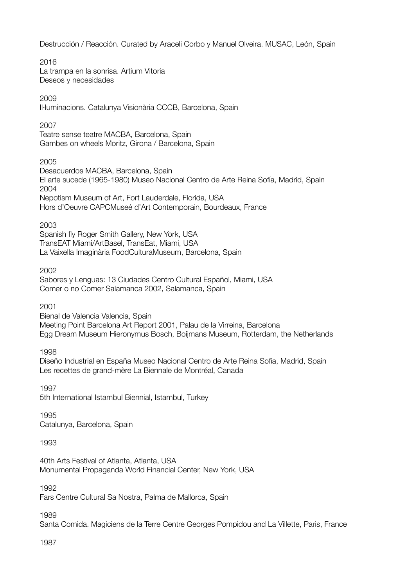Destrucción / Reacción. Curated by Araceli Corbo y Manuel Olveira. MUSAC, León, Spain

## 2016

La trampa en la sonrisa. Artium Vitoria Deseos y necesidades

## 2009

Il·luminacions. Catalunya Visionària CCCB, Barcelona, Spain

## 2007

Teatre sense teatre MACBA, Barcelona, Spain Gambes on wheels Moritz, Girona / Barcelona, Spain

## 2005

Desacuerdos MACBA, Barcelona, Spain El arte sucede (1965-1980) Museo Nacional Centro de Arte Reina Sofía, Madrid, Spain 2004 Nepotism Museum of Art, Fort Lauderdale, Florida, USA Hors d'Oeuvre CAPCMuseé d'Art Contemporain, Bourdeaux, France

## 2003

Spanish fly Roger Smith Gallery, New York, USA TransEAT Miami/ArtBasel, TransEat, Miami, USA La Vaixella Imaginària FoodCulturaMuseum, Barcelona, Spain

## 2002

Sabores y Lenguas: 13 Ciudades Centro Cultural Español, Miami, USA Comer o no Comer Salamanca 2002, Salamanca, Spain

## 2001

Bienal de Valencia Valencia, Spain Meeting Point Barcelona Art Report 2001, Palau de la Virreina, Barcelona Egg Dream Museum Hieronymus Bosch, Boijmans Museum, Rotterdam, the Netherlands

1998

Diseño Industrial en España Museo Nacional Centro de Arte Reina Sofía, Madrid, Spain Les recettes de grand-mère La Biennale de Montréal, Canada

1997

5th International Istambul Biennial, Istambul, Turkey

## 1995

Catalunya, Barcelona, Spain

## 1993

40th Arts Festival of Atlanta, Atlanta, USA Monumental Propaganda World Financial Center, New York, USA

#### 1992

Fars Centre Cultural Sa Nostra, Palma de Mallorca, Spain

1989

Santa Comida. Magiciens de la Terre Centre Georges Pompidou and La Villette, Paris, France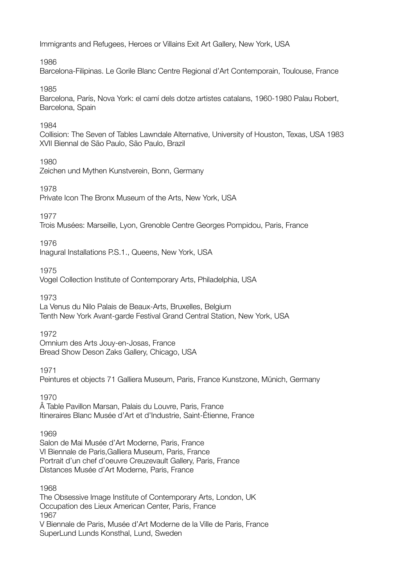Immigrants and Refugees, Heroes or Villains Exit Art Gallery, New York, USA

1986

Barcelona-Filipinas. Le Gorile Blanc Centre Regional d'Art Contemporain, Toulouse, France

1985

Barcelona, París, Nova York: el camí dels dotze artistes catalans, 1960-1980 Palau Robert, Barcelona, Spain

## 1984

Collision: The Seven of Tables Lawndale Alternative, University of Houston, Texas, USA 1983 XVII Biennal de São Paulo, São Paulo, Brazil

## 1980

Zeichen und Mythen Kunstverein, Bonn, Germany

1978

Private Icon The Bronx Museum of the Arts, New York, USA

1977

Trois Musées: Marseille, Lyon, Grenoble Centre Georges Pompidou, Paris, France

1976

Inagural Installations P.S.1., Queens, New York, USA

1975

Vogel Collection Institute of Contemporary Arts, Philadelphia, USA

1973

La Venus du Nilo Palais de Beaux-Arts, Bruxelles, Belgium Tenth New York Avant-garde Festival Grand Central Station, New York, USA

## 1972

Omnium des Arts Jouy-en-Josas, France Bread Show Deson Zaks Gallery, Chicago, USA

1971

Peintures et objects 71 Galliera Museum, Paris, France Kunstzone, Münich, Germany

1970

 Table Pavillon Marsan, Palais du Louvre, Paris, France Itineraires Blanc Musée d'Art et d'Industrie, Saint-Étienne, France

## 1969

Salon de Mai Musée d'Art Moderne, Paris, France VI Biennale de Paris,Galliera Museum, Paris, France Portrait d'un chef d'oeuvre Creuzevault Gallery, Paris, France Distances Musée d'Art Moderne, Paris, France

1968

The Obsessive Image Institute of Contemporary Arts, London, UK Occupation des Lieux American Center, Paris, France 1967 V Biennale de Paris, Musée d'Art Moderne de la Ville de Paris, France SuperLund Lunds Konsthal, Lund, Sweden